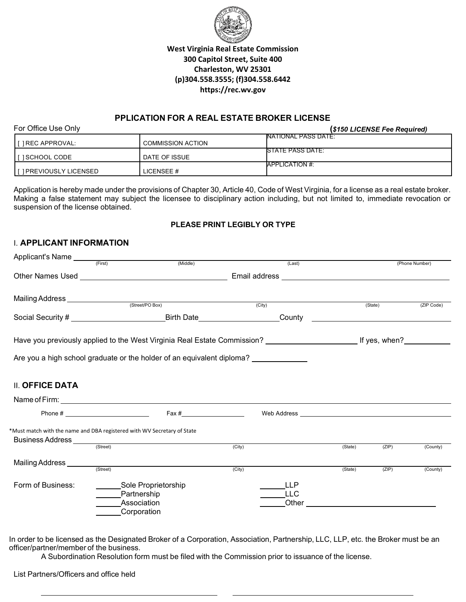

# **West Virginia Real Estate Commission 300 Capitol Street, Suite 400 Charleston, WV 25301 (p)304.558.3555; (f)304.558.6442 https://rec.wv.gov**

# **PPLICATION FOR A REAL ESTATE BROKER LICENSE**

| For Office Use Only     |                          | (\$150 LICENSE Fee Required) |
|-------------------------|--------------------------|------------------------------|
| I [ ] REC APPROVAL:     | <b>COMMISSION ACTION</b> | <b>INATIONAL PASS DATE:</b>  |
| I I SCHOOL CODE         | DATE OF ISSUE            | <b>ISTATE PASS DATE:</b>     |
| [ ] PREVIOUSLY LICENSED | LICENSEE #               | <b>IAPPLICATION #:</b>       |

Application is hereby made under the provisions of Chapter 30, Article 40, Code of West Virginia, for a license as a real estate broker. Making a false statement may subject the licensee to disciplinary action including, but not limited to, immediate revocation or suspension of the license obtained.

#### **PLEASE PRINT LEGIBLY OR TYPE**

### I. **APPLICANT INFORMATION**

| Applicant's Name                                                        | (First)                                   | (Middle)                                                                                                                                                                                                                      |        | (Last)                            |                                               |         | (Phone Number) |
|-------------------------------------------------------------------------|-------------------------------------------|-------------------------------------------------------------------------------------------------------------------------------------------------------------------------------------------------------------------------------|--------|-----------------------------------|-----------------------------------------------|---------|----------------|
|                                                                         |                                           |                                                                                                                                                                                                                               |        |                                   |                                               |         |                |
|                                                                         |                                           |                                                                                                                                                                                                                               |        | (City)                            |                                               | (State) | (ZIP Code)     |
|                                                                         |                                           |                                                                                                                                                                                                                               |        |                                   | <u> 1989 - Andrea Andrew Maria (h. 1989).</u> |         |                |
|                                                                         |                                           | Have you previously applied to the West Virginia Real Estate Commission? [16] The Maye you previously applied to the West Virginia Real Estate Commission? [20] The Maye of the Menome of the Maye of the Maye of the Maye of |        |                                   |                                               |         |                |
|                                                                         |                                           | Are you a high school graduate or the holder of an equivalent diploma? __________                                                                                                                                             |        |                                   |                                               |         |                |
| <b>II. OFFICE DATA</b>                                                  |                                           |                                                                                                                                                                                                                               |        |                                   |                                               |         |                |
|                                                                         |                                           |                                                                                                                                                                                                                               |        |                                   |                                               |         |                |
|                                                                         |                                           | $\text{Fax} \#$                                                                                                                                                                                                               |        |                                   |                                               |         |                |
| *Must match with the name and DBA registered with WV Secretary of State |                                           |                                                                                                                                                                                                                               | (City) |                                   | (State)                                       | (ZIP)   | (County)       |
|                                                                         |                                           |                                                                                                                                                                                                                               |        |                                   |                                               |         |                |
| Mailing Address _____                                                   | (Street)                                  |                                                                                                                                                                                                                               | (City) |                                   | (State)                                       | (ZIP)   | (County)       |
| Form of Business:                                                       | Partnership<br>Association<br>Corporation | Sole Proprietorship                                                                                                                                                                                                           |        | <b>LLP</b><br><b>LLC</b><br>Other |                                               |         |                |

In order to be licensed as the Designated Broker of a Corporation, Association, Partnership, LLC, LLP, etc. the Broker must be an officer/partner/member of the business.

A Subordination Resolution form must be filed with the Commission prior to issuance of the license.

List Partners/Officers and office held